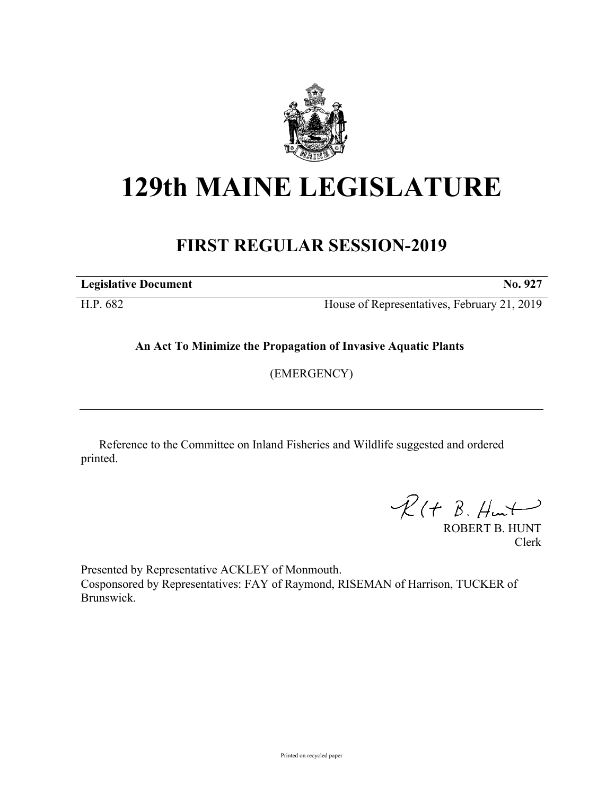

## **129th MAINE LEGISLATURE**

## **FIRST REGULAR SESSION-2019**

**Legislative Document No. 927**

H.P. 682 House of Representatives, February 21, 2019

**An Act To Minimize the Propagation of Invasive Aquatic Plants**

(EMERGENCY)

Reference to the Committee on Inland Fisheries and Wildlife suggested and ordered printed.

 $R(H B. Hmt)$ 

ROBERT B. HUNT Clerk

Presented by Representative ACKLEY of Monmouth. Cosponsored by Representatives: FAY of Raymond, RISEMAN of Harrison, TUCKER of Brunswick.